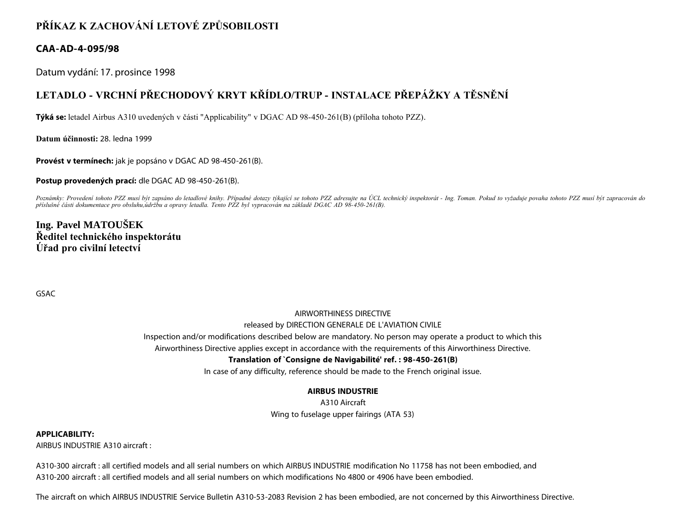# **PŘÍKAZ K ZACHOVÁNÍ LETOVÉ ZPŮSOBILOSTI**

# **CAA-AD-4-095/98**

Datum vydání: 17. prosince 1998

# **LETADLO - VRCHNÍ PŘECHODOVÝ KRYT KŘÍDLO/TRUP - INSTALACE PŘEPÁŽKY A TĚSNĚNÍ**

**Týká se:** letadel Airbus A310 uvedených v části "Applicability" v DGAC AD 98-450-261(B) (příloha tohoto PZZ).

**Datum účinnosti:** 28. ledna 1999

**Provést v termínech:** jak je popsáno v DGAC AD 98-450-261(B).

**Postup provedených prací:** dle DGAC AD 98-450-261(B).

Poznámky: Provedení tohoto PZZ musí být zapsáno do letadlové knihy. Případné dotazy týkající se tohoto PZZ adresujte na ÚCL technický inspektorát - Ing. Toman. Pokud to vyžaduje povaha tohoto PZZ musí být zapracován do *příslušné části dokumentace pro obsluhu,údržbu a opravy letadla. Tento PZZ byl vypracován na základě DGAC AD 98-450-261(B).*

# **Ing. Pavel MATOUŠEK Ředitel technického inspektorátu Úřad pro civilní letectví**

GSAC

### AIRWORTHINESS DIRECTIVE

#### released by DIRECTION GENERALE DE L'AVIATION CIVILE

Inspection and/or modifications described below are mandatory. No person may operate a product to which this

Airworthiness Directive applies except in accordance with the requirements of this Airworthiness Directive.

### **Translation of `Consigne de Navigabilité' ref. : 98-450-261(B)**

In case of any difficulty, reference should be made to the French original issue.

**AIRBUS INDUSTRIE**

A310 Aircraft Wing to fuselage upper fairings (ATA 53)

#### **APPLICABILITY:**

AIRBUS INDUSTRIE A310 aircraft :

A310-300 aircraft : all certified models and all serial numbers on which AIRBUS INDUSTRIE modification No 11758 has not been embodied, and A310-200 aircraft : all certified models and all serial numbers on which modifications No 4800 or 4906 have been embodied.

The aircraft on which AIRBUS INDUSTRIE Service Bulletin A310-53-2083 Revision 2 has been embodied, are not concerned by this Airworthiness Directive.